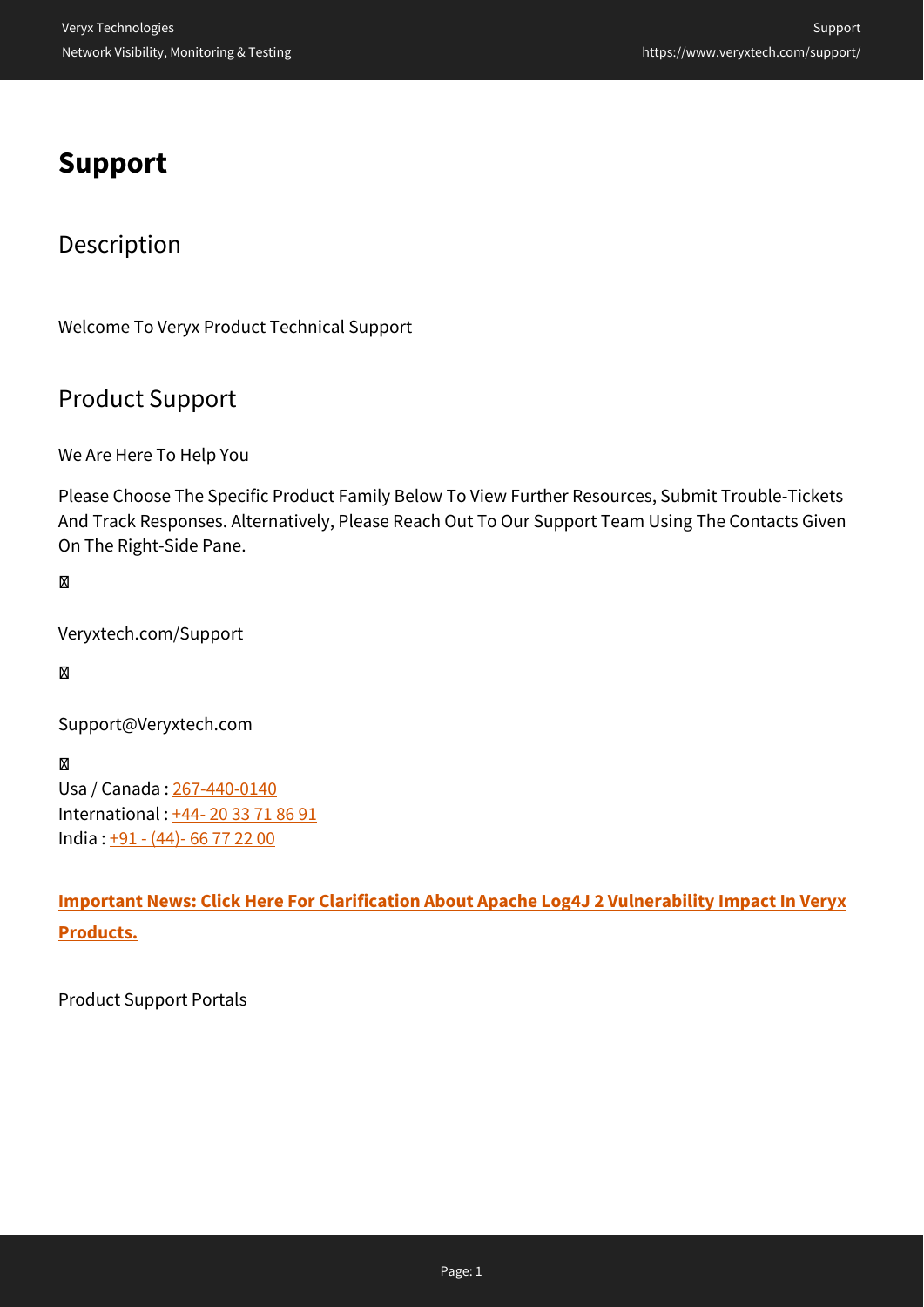# **Support**

# Description

Welcome To Veryx Product Technical Support

## Product Support

We Are Here To Help You

Please Choose The Specific Product Family Below To View Further Resources, Submit Trouble-Tickets And Track Responses. Alternatively, Please Reach Out To Our Support Team Using The Contacts Given On The Right-Side Pane.

### М

Veryxtech.com/Support

#### M

Support@Veryxtech.com

#### M

Usa / Canada : [267-440-0140](#page--1-0) International : [+44- 20 33 71 86 91](#page--1-0) India : [+91 - \(44\)- 66 77 22 00](#page--1-0)

**[Important News: Click Here For Clarification About Apache Log4J 2 Vulnerability Impact In Veryx](https://www.veryxtech.com/veryx-assesses-impact-of-apache-log4j-vulnerability-in-its-products/) [Products.](https://www.veryxtech.com/veryx-assesses-impact-of-apache-log4j-vulnerability-in-its-products/)**

Product Support Portals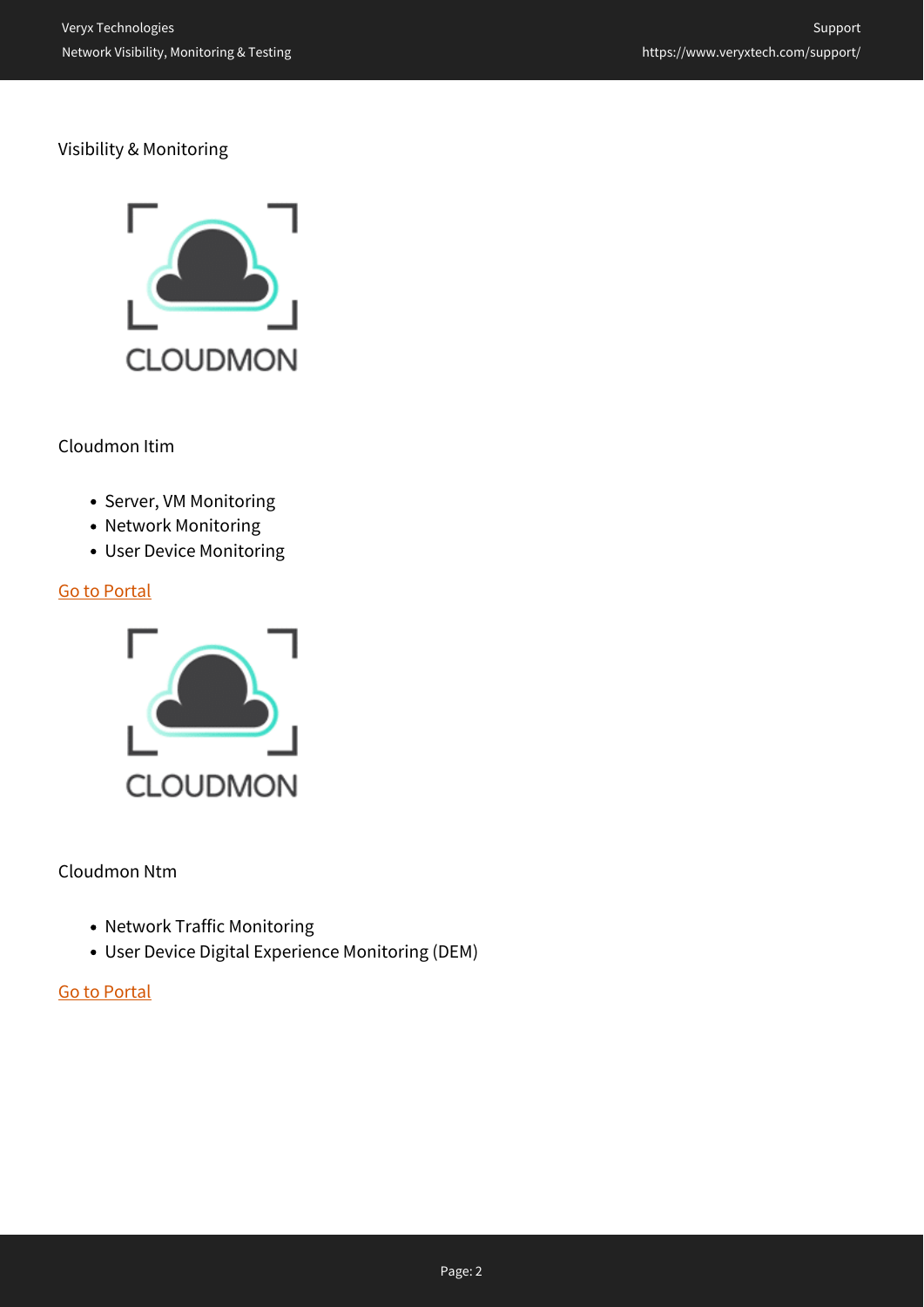#### Visibility & Monitoring



Cloudmon Itim

- Server, VM Monitoring
- Network Monitoring
- User Device Monitoring

#### [Go to Portal](https://cloudmon-itim-support.veryxtech.com/portal/)



#### Cloudmon Ntm

- Network Traffic Monitoring
- User Device Digital Experience Monitoring (DEM)

#### [Go to Portal](https://cloudmon-ntm-support.veryxtech.com/portal/)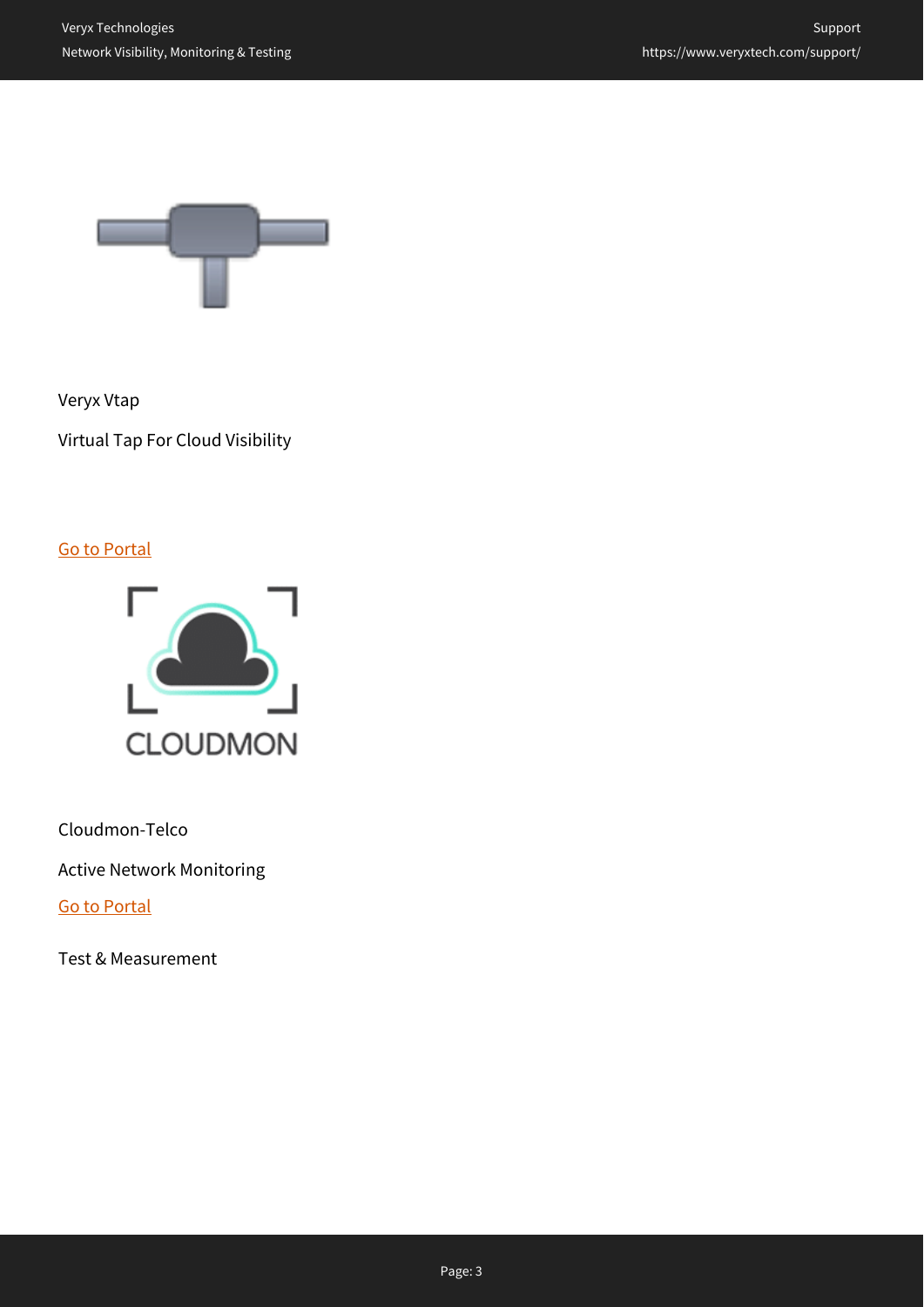

Veryx Vtap

Virtual Tap For Cloud Visibility

[Go to Portal](https://vtap-support.veryxtech.com)



Cloudmon-Telco

Active Network Monitoring

[Go to Portal](https://cloudmon-telco-support.veryxtech.com/portal/)

Test & Measurement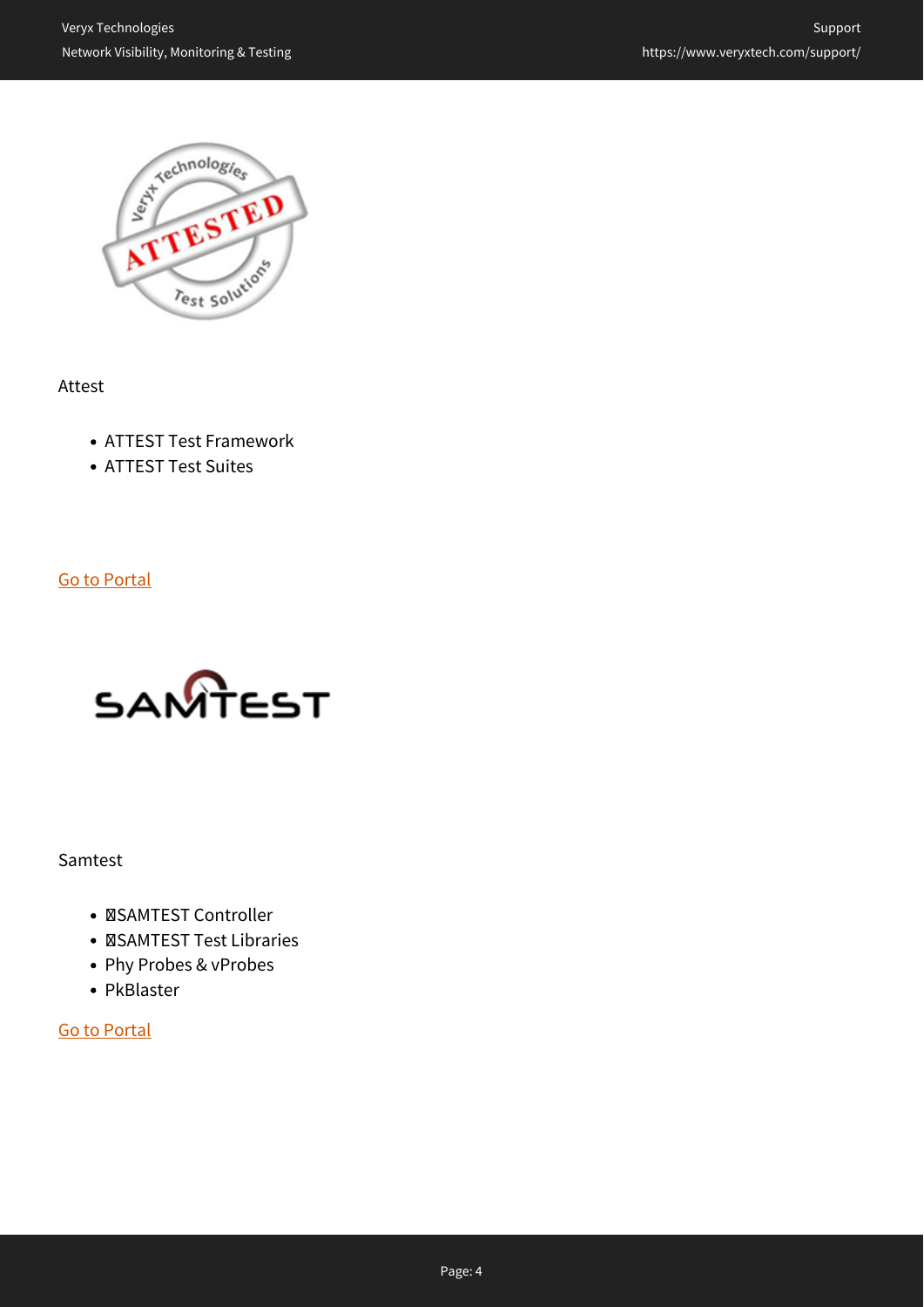

Attest

- ATTEST Test Framework
- ATTEST Test Suites

[Go to Portal](https://attest-support.veryxtech.com)



Samtest

- **ØSAMTEST Controller**
- **ØSAMTEST Test Libraries**
- Phy Probes & vProbes
- PkBlaster

[Go to Portal](https://samtest-support.veryxtech.com)